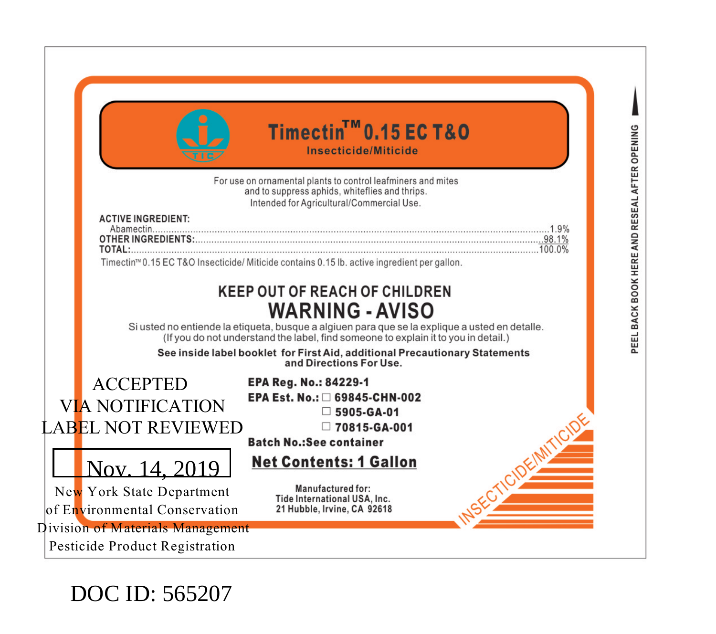| Timectin <sup>™</sup> 0.15 EC T&O<br>Insecticide/Miticide                                                                                                                            |
|--------------------------------------------------------------------------------------------------------------------------------------------------------------------------------------|
| For use on ornamental plants to control leafminers and mites<br>and to suppress aphids, whiteflies and thrips.                                                                       |
| Intended for Agricultural/Commercial Use.                                                                                                                                            |
| <b>ACTIVE INGREDIENT:</b>                                                                                                                                                            |
| 07HER INGREDIENTS: 38.1%<br><b>TOTAL:</b> $\frac{1000\%}{1000\%}$                                                                                                                    |
| Timectin <sup>m</sup> 0.15 EC T&O Insecticide/ Miticide contains 0.15 lb. active ingredient per gallon.                                                                              |
|                                                                                                                                                                                      |
| <b>KEEP OUT OF REACH OF CHILDREN</b>                                                                                                                                                 |
| <b>WARNING - AVISO</b>                                                                                                                                                               |
| Si usted no entiende la etiqueta, busque a algiuen para que se la explique a usted en detalle.<br>(If you do not understand the label, find someone to explain it to you in detail.) |
| See inside label booklet for First Aid, additional Precautionary Statements                                                                                                          |
| and Directions For Use.                                                                                                                                                              |
| <b>ACCEPTED</b><br><b>EPA Reg. No.: 84229-1</b>                                                                                                                                      |
| EPA Est. No.: □ 69845-CHN-002<br><b>VIA NOTIFICATION</b><br>$\Box$ 5905-GA-01                                                                                                        |
| LABEL NOT REVIEWED<br>□ 70815-GA-001                                                                                                                                                 |
| <b>Batch No.:See container</b>                                                                                                                                                       |
| <b>Net Contents: 1 Gallon</b>                                                                                                                                                        |
| Nov. 14, 2019                                                                                                                                                                        |
| Manufactured for:<br>New York State Department<br>Tide International USA, Inc.                                                                                                       |
| of Environmental Conservation<br>21 Hubble, Irvine, CA 92618                                                                                                                         |

DOC ID: 565207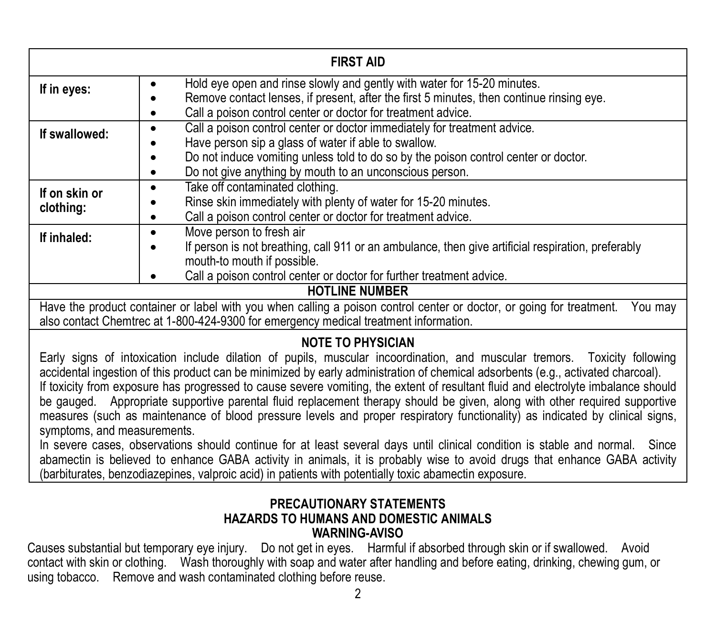| <b>FIRST AID</b>                                                                                                                                                                                                                                                                                                                                                                                                                                                                                                                                                                                                                                                                                                                                                                                                                                                                                                                                                                                                                                                                                 |                                                                                                                                                                                                                                                                                         |  |  |  |
|--------------------------------------------------------------------------------------------------------------------------------------------------------------------------------------------------------------------------------------------------------------------------------------------------------------------------------------------------------------------------------------------------------------------------------------------------------------------------------------------------------------------------------------------------------------------------------------------------------------------------------------------------------------------------------------------------------------------------------------------------------------------------------------------------------------------------------------------------------------------------------------------------------------------------------------------------------------------------------------------------------------------------------------------------------------------------------------------------|-----------------------------------------------------------------------------------------------------------------------------------------------------------------------------------------------------------------------------------------------------------------------------------------|--|--|--|
| If in eyes:                                                                                                                                                                                                                                                                                                                                                                                                                                                                                                                                                                                                                                                                                                                                                                                                                                                                                                                                                                                                                                                                                      | Hold eye open and rinse slowly and gently with water for 15-20 minutes.<br>٠<br>Remove contact lenses, if present, after the first 5 minutes, then continue rinsing eye.<br>Call a poison control center or doctor for treatment advice.                                                |  |  |  |
| If swallowed:                                                                                                                                                                                                                                                                                                                                                                                                                                                                                                                                                                                                                                                                                                                                                                                                                                                                                                                                                                                                                                                                                    | Call a poison control center or doctor immediately for treatment advice.<br>٠<br>Have person sip a glass of water if able to swallow.<br>Do not induce vomiting unless told to do so by the poison control center or doctor.<br>Do not give anything by mouth to an unconscious person. |  |  |  |
| If on skin or<br>clothing:                                                                                                                                                                                                                                                                                                                                                                                                                                                                                                                                                                                                                                                                                                                                                                                                                                                                                                                                                                                                                                                                       | Take off contaminated clothing.<br>٠<br>Rinse skin immediately with plenty of water for 15-20 minutes.<br>Call a poison control center or doctor for treatment advice.                                                                                                                  |  |  |  |
| If inhaled:                                                                                                                                                                                                                                                                                                                                                                                                                                                                                                                                                                                                                                                                                                                                                                                                                                                                                                                                                                                                                                                                                      | Move person to fresh air<br>٠<br>If person is not breathing, call 911 or an ambulance, then give artificial respiration, preferably<br>mouth-to mouth if possible.<br>Call a poison control center or doctor for further treatment advice.                                              |  |  |  |
| <b>HOTLINE NUMBER</b>                                                                                                                                                                                                                                                                                                                                                                                                                                                                                                                                                                                                                                                                                                                                                                                                                                                                                                                                                                                                                                                                            |                                                                                                                                                                                                                                                                                         |  |  |  |
| Have the product container or label with you when calling a poison control center or doctor, or going for treatment.<br>You mav<br>also contact Chemtrec at 1-800-424-9300 for emergency medical treatment information.                                                                                                                                                                                                                                                                                                                                                                                                                                                                                                                                                                                                                                                                                                                                                                                                                                                                          |                                                                                                                                                                                                                                                                                         |  |  |  |
| <b>NOTE TO PHYSICIAN</b><br>Early signs of intoxication include dilation of pupils, muscular incoordination, and muscular tremors. Toxicity following<br>accidental ingestion of this product can be minimized by early administration of chemical adsorbents (e.g., activated charcoal).<br>If toxicity from exposure has progressed to cause severe vomiting, the extent of resultant fluid and electrolyte imbalance should<br>be gauged. Appropriate supportive parental fluid replacement therapy should be given, along with other required supportive<br>measures (such as maintenance of blood pressure levels and proper respiratory functionality) as indicated by clinical signs,<br>symptoms, and measurements.<br>In severe cases, observations should continue for at least several days until clinical condition is stable and normal. Since<br>abamectin is believed to enhance GABA activity in animals, it is probably wise to avoid drugs that enhance GABA activity<br>(barbiturates, benzodiazepines, valproic acid) in patients with potentially toxic abamectin exposure. |                                                                                                                                                                                                                                                                                         |  |  |  |

#### **PRECAUTIONARY STATEMENTS HAZARDS TO HUMANS AND DOMESTIC ANIMALS WARNING-AVISO**

Causes substantial but temporary eye injury. Do not get in eyes. Harmful if absorbed through skin or if swallowed. Avoid contact with skin or clothing. Wash thoroughly with soap and water after handling and before eating, drinking, chewing gum, or using tobacco. Remove and wash contaminated clothing before reuse.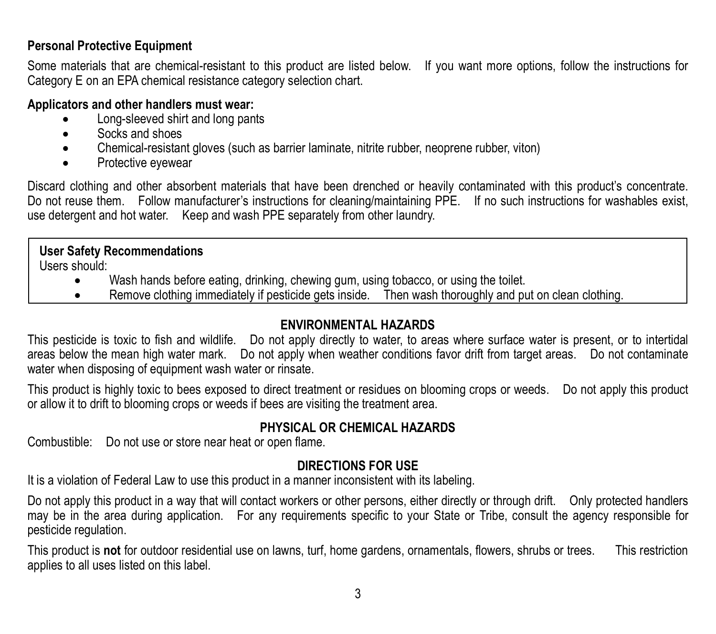#### **Personal Protective Equipment**

Some materials that are chemical-resistant to this product are listed below. If you want more options, follow the instructions for Category E on an EPA chemical resistance category selection chart.

#### **Applicators and other handlers must wear:**

- Long-sleeved shirt and long pants
- Socks and shoes
- Chemical-resistant gloves (such as barrier laminate, nitrite rubber, neoprene rubber, viton)
- Protective eyewear

Discard clothing and other absorbent materials that have been drenched or heavily contaminated with this product's concentrate. Do not reuse them. Follow manufacturer's instructions for cleaning/maintaining PPE. If no such instructions for washables exist, use detergent and hot water. Keep and wash PPE separately from other laundry.

#### **User Safety Recommendations**

Users should:

- Wash hands before eating, drinking, chewing gum, using tobacco, or using the toilet.
- Remove clothing immediately if pesticide gets inside. Then wash thoroughly and put on clean clothing.

#### **ENVIRONMENTAL HAZARDS**

This pesticide is toxic to fish and wildlife. Do not apply directly to water, to areas where surface water is present, or to intertidal areas below the mean high water mark. Do not apply when weather conditions favor drift from target areas. Do not contaminate water when disposing of equipment wash water or rinsate.

This product is highly toxic to bees exposed to direct treatment or residues on blooming crops or weeds. Do not apply this product or allow it to drift to blooming crops or weeds if bees are visiting the treatment area.

#### **PHYSICAL OR CHEMICAL HAZARDS**

Combustible: Do not use or store near heat or open flame.

#### **DIRECTIONS FOR USE**

It is a violation of Federal Law to use this product in a manner inconsistent with its labeling.

Do not apply this product in a way that will contact workers or other persons, either directly or through drift. Only protected handlers may be in the area during application. For any requirements specific to your State or Tribe, consult the agency responsible for pesticide regulation.

This product is **not** for outdoor residential use on lawns, turf, home gardens, ornamentals, flowers, shrubs or trees. This restriction applies to all uses listed on this label.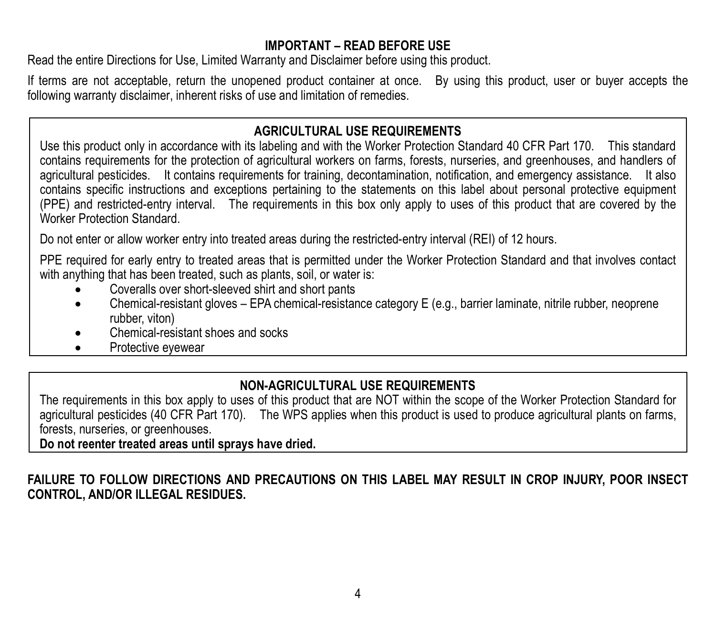#### **IMPORTANT – READ BEFORE USE**

Read the entire Directions for Use, Limited Warranty and Disclaimer before using this product.

If terms are not acceptable, return the unopened product container at once. By using this product, user or buyer accepts the following warranty disclaimer, inherent risks of use and limitation of remedies.

#### **AGRICULTURAL USE REQUIREMENTS**

Use this product only in accordance with its labeling and with the Worker Protection Standard 40 CFR Part 170. This standard contains requirements for the protection of agricultural workers on farms, forests, nurseries, and greenhouses, and handlers of agricultural pesticides. It contains requirements for training, decontamination, notification, and emergency assistance. It also contains specific instructions and exceptions pertaining to the statements on this label about personal protective equipment (PPE) and restricted-entry interval. The requirements in this box only apply to uses of this product that are covered by the Worker Protection Standard.

Do not enter or allow worker entry into treated areas during the restricted-entry interval (REI) of 12 hours.

PPE required for early entry to treated areas that is permitted under the Worker Protection Standard and that involves contact with anything that has been treated, such as plants, soil, or water is:

- Coveralls over short-sleeved shirt and short pants
- Chemical-resistant gloves EPA chemical-resistance category E (e.g., barrier laminate, nitrile rubber, neoprene rubber, viton)
- Chemical-resistant shoes and socks
- Protective eyewear

#### **NON-AGRICULTURAL USE REQUIREMENTS**

The requirements in this box apply to uses of this product that are NOT within the scope of the Worker Protection Standard for agricultural pesticides (40 CFR Part 170). The WPS applies when this product is used to produce agricultural plants on farms, forests, nurseries, or greenhouses.

**Do not reenter treated areas until sprays have dried.**

**FAILURE TO FOLLOW DIRECTIONS AND PRECAUTIONS ON THIS LABEL MAY RESULT IN CROP INJURY, POOR INSECT CONTROL, AND/OR ILLEGAL RESIDUES.**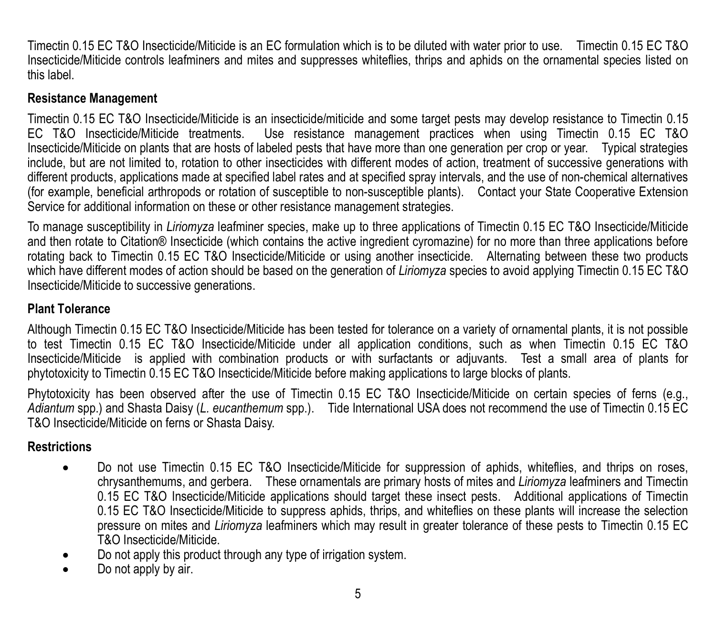Timectin 0.15 EC T&O Insecticide/Miticide is an EC formulation which is to be diluted with water prior to use. Timectin 0.15 EC T&O Insecticide/Miticide controls leafminers and mites and suppresses whiteflies, thrips and aphids on the ornamental species listed on this label.

#### **Resistance Management**

Timectin 0.15 EC T&O Insecticide/Miticide is an insecticide/miticide and some target pests may develop resistance to Timectin 0.15 EC T&O Insecticide/Miticide treatments. Use resistance management practices when using Timectin 0.15 EC T&O Insecticide/Miticide on plants that are hosts of labeled pests that have more than one generation per crop or year. Typical strategies include, but are not limited to, rotation to other insecticides with different modes of action, treatment of successive generations with different products, applications made at specified label rates and at specified spray intervals, and the use of non-chemical alternatives (for example, beneficial arthropods or rotation of susceptible to non-susceptible plants). Contact your State Cooperative Extension Service for additional information on these or other resistance management strategies.

To manage susceptibility in *Liriomyza* leafminer species, make up to three applications of Timectin 0.15 EC T&O Insecticide/Miticide and then rotate to Citation® Insecticide (which contains the active ingredient cyromazine) for no more than three applications before rotating back to Timectin 0.15 EC T&O Insecticide/Miticide or using another insecticide. Alternating between these two products which have different modes of action should be based on the generation of *Liriomyza* species to avoid applying Timectin 0.15 EC T&O Insecticide/Miticide to successive generations.

#### **Plant Tolerance**

Although Timectin 0.15 EC T&O Insecticide/Miticide has been tested for tolerance on a variety of ornamental plants, it is not possible to test Timectin 0.15 EC T&O Insecticide/Miticide under all application conditions, such as when Timectin 0.15 EC T&O Insecticide/Miticide is applied with combination products or with surfactants or adjuvants. Test a small area of plants for phytotoxicity to Timectin 0.15 EC T&O Insecticide/Miticide before making applications to large blocks of plants.

Phytotoxicity has been observed after the use of Timectin 0.15 EC T&O Insecticide/Miticide on certain species of ferns (e.g., *Adiantum* spp.) and Shasta Daisy (*L. eucanthemum* spp.). Tide International USA does not recommend the use of Timectin 0.15 EC T&O Insecticide/Miticide on ferns or Shasta Daisy.

#### **Restrictions**

- Do not use Timectin 0.15 EC T&O Insecticide/Miticide for suppression of aphids, whiteflies, and thrips on roses, chrysanthemums, and gerbera. These ornamentals are primary hosts of mites and *Liriomyza* leafminers and Timectin 0.15 EC T&O Insecticide/Miticide applications should target these insect pests. Additional applications of Timectin 0.15 EC T&O Insecticide/Miticide to suppress aphids, thrips, and whiteflies on these plants will increase the selection pressure on mites and *Liriomyza* leafminers which may result in greater tolerance of these pests to Timectin 0.15 EC T&O Insecticide/Miticide.
- Do not apply this product through any type of irrigation system.
- Do not apply by air.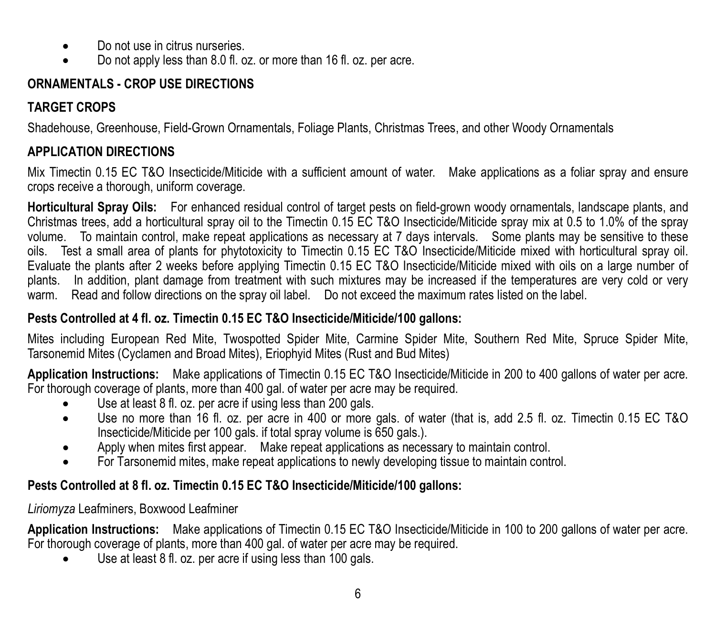- Do not use in citrus nurseries.
- Do not apply less than 8.0 fl. oz. or more than 16 fl. oz. per acre.

#### **ORNAMENTALS - CROP USE DIRECTIONS**

#### **TARGET CROPS**

Shadehouse, Greenhouse, Field-Grown Ornamentals, Foliage Plants, Christmas Trees, and other Woody Ornamentals

#### **APPLICATION DIRECTIONS**

Mix Timectin 0.15 EC T&O Insecticide/Miticide with a sufficient amount of water. Make applications as a foliar spray and ensure crops receive a thorough, uniform coverage.

**Horticultural Spray Oils:** For enhanced residual control of target pests on field-grown woody ornamentals, landscape plants, and Christmas trees, add a horticultural spray oil to the Timectin 0.15 EC T&O Insecticide/Miticide spray mix at 0.5 to 1.0% of the spray volume. To maintain control, make repeat applications as necessary at 7 days intervals. Some plants may be sensitive to these oils. Test a small area of plants for phytotoxicity to Timectin 0.15 EC T&O Insecticide/Miticide mixed with horticultural spray oil. Evaluate the plants after 2 weeks before applying Timectin 0.15 EC T&O Insecticide/Miticide mixed with oils on a large number of plants. In addition, plant damage from treatment with such mixtures may be increased if the temperatures are very cold or very warm. Read and follow directions on the spray oil label. Do not exceed the maximum rates listed on the label.

#### **Pests Controlled at 4 fl. oz. Timectin 0.15 EC T&O Insecticide/Miticide/100 gallons:**

Mites including European Red Mite, Twospotted Spider Mite, Carmine Spider Mite, Southern Red Mite, Spruce Spider Mite, Tarsonemid Mites (Cyclamen and Broad Mites), Eriophyid Mites (Rust and Bud Mites)

**Application Instructions:** Make applications of Timectin 0.15 EC T&O Insecticide/Miticide in 200 to 400 gallons of water per acre. For thorough coverage of plants, more than 400 gal. of water per acre may be required.

- Use at least 8 fl. oz. per acre if using less than 200 gals.
- Use no more than 16 fl. oz. per acre in 400 or more gals. of water (that is, add 2.5 fl. oz. Timectin 0.15 EC T&O Insecticide/Miticide per 100 gals. if total spray volume is 650 gals.).
- Apply when mites first appear. Make repeat applications as necessary to maintain control.
- For Tarsonemid mites, make repeat applications to newly developing tissue to maintain control.

#### **Pests Controlled at 8 fl. oz. Timectin 0.15 EC T&O Insecticide/Miticide/100 gallons:**

#### *Liriomyza* Leafminers, Boxwood Leafminer

**Application Instructions:** Make applications of Timectin 0.15 EC T&O Insecticide/Miticide in 100 to 200 gallons of water per acre. For thorough coverage of plants, more than 400 gal. of water per acre may be required.

• Use at least 8 fl. oz. per acre if using less than 100 gals.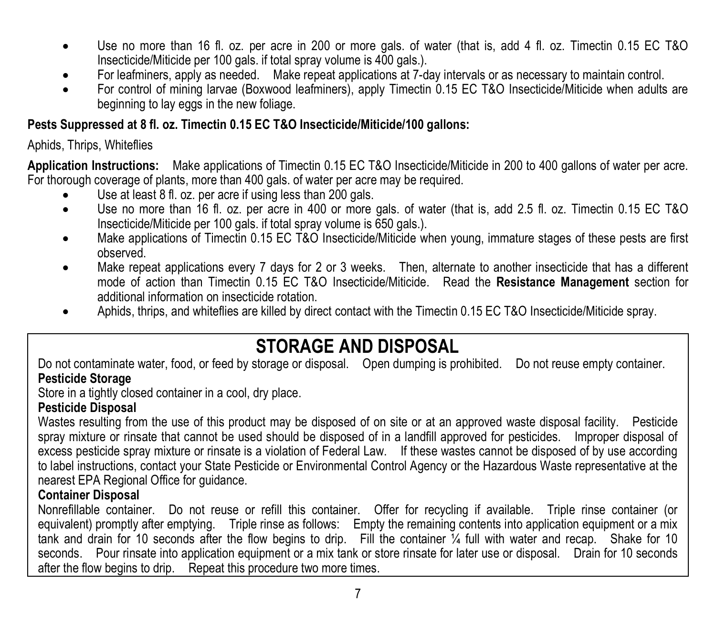- Use no more than 16 fl. oz. per acre in 200 or more gals. of water (that is, add 4 fl. oz. Timectin 0.15 EC T&O Insecticide/Miticide per 100 gals. if total spray volume is 400 gals.)
- For leafminers, apply as needed. Make repeat applications at 7-day intervals or as necessary to maintain control.<br>For control of mining lange (Poweed Ioptminers), apply Timotin 0.15 FC TRO Insecticide/Mitigide when adult
- For control of mining larvae (Boxwood leafminers), apply Timectin 0.15 EC T&O Insecticide/Miticide when adults are beginning to lay eggs in the new foliage

#### **Pests Suppressed at 8 fl. oz. Timectin 0.15 EC T&O Insecticide/Miticide/100 gallons:**

#### Aphids, Thrips, Whiteflies

**Application Instructions:** Make applications of Timectin 0.15 EC T&O Insecticide/Miticide in 200 to 400 gallons of water per acre. For thorough coverage of plants, more than 400 gals. of water per acre may be required.

- Use at least 8 fl. oz. per acre if using less than 200 gals.
- Use no more than 16 fl. oz. per acre in 400 or more gals. of water (that is, add 2.5 fl. oz. Timectin 0.15 EC T&O Insecticide/Miticide per 100 gals. if total spray volume is 650 gals.).
- Make applications of Timectin 0.15 EC T&O Insecticide/Miticide when young, immature stages of these pests are first observed.
- Make repeat applications every 7 days for 2 or 3 weeks. Then, alternate to another insecticide that has a different mode of action than Timectin 0.15 EC T&O Insecticide/Miticide. Read the **Resistance Management** section for additional information on insecticide rotation.
- Aphids, thrips, and whiteflies are killed by direct contact with the Timectin 0.15 EC T&O Insecticide/Miticide spray.

### **STORAGE AND DISPOSAL**

Do not contaminate water, food, or feed by storage or disposal. Open dumping is prohibited. Do not reuse empty container. **Pesticide Storage**

Store in a tightly closed container in a cool, dry place.

#### **Pesticide Disposal**

Wastes resulting from the use of this product may be disposed of on site or at an approved waste disposal facility. Pesticide spray mixture or rinsate that cannot be used should be disposed of in a landfill approved for pesticides. Improper disposal of excess pesticide spray mixture or rinsate is a violation of Federal Law. If these wastes cannot be disposed of by use according to label instructions, contact your State Pesticide or Environmental Control Agency or the Hazardous Waste representative at the nearest EPA Regional Office for guidance.

#### **Container Disposal**

Nonrefillable container. Do not reuse or refill this container. Offer for recycling if available. Triple rinse container (or equivalent) promptly after emptying. Triple rinse as follows: Empty the remaining contents into application equipment or a mix tank and drain for 10 seconds after the flow begins to drip. Fill the container  $\frac{1}{4}$  full with water and recap. Shake for 10 seconds. Pour rinsate into application equipment or a mix tank or store rinsate for later use or disposal. Drain for 10 seconds after the flow begins to drip. Repeat this procedure two more times.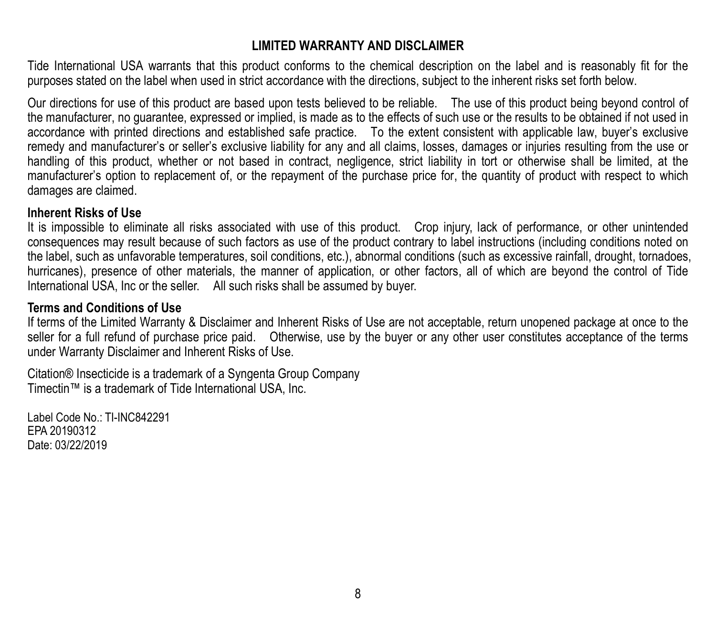#### **LIMITED WARRANTY AND DISCLAIMER**

Tide International USA warrants that this product conforms to the chemical description on the label and is reasonably fit for the purposes stated on the label when used in strict accordance with the directions, subject to the inherent risks set forth below.

Our directions for use of this product are based upon tests believed to be reliable. The use of this product being beyond control of the manufacturer, no guarantee, expressed or implied, is made as to the effects of such use or the results to be obtained if not used in accordance with printed directions and established safe practice. To the extent consistent with applicable law, buyer's exclusive remedy and manufacturer's or seller's exclusive liability for any and all claims, losses, damages or injuries resulting from the use or handling of this product, whether or not based in contract, negligence, strict liability in tort or otherwise shall be limited, at the manufacturer's option to replacement of, or the repayment of the purchase price for, the quantity of product with respect to which damages are claimed.

#### **Inherent Risks of Use**

It is impossible to eliminate all risks associated with use of this product. Crop injury, lack of performance, or other unintended consequences may result because of such factors as use of the product contrary to label instructions (including conditions noted on the label, such as unfavorable temperatures, soil conditions, etc.), abnormal conditions (such as excessive rainfall, drought, tornadoes, hurricanes), presence of other materials, the manner of application, or other factors, all of which are beyond the control of Tide International USA, Inc or the seller. All such risks shall be assumed by buyer.

#### **Terms and Conditions of Use**

If terms of the Limited Warranty & Disclaimer and Inherent Risks of Use are not acceptable, return unopened package at once to the seller for a full refund of purchase price paid. Otherwise, use by the buyer or any other user constitutes acceptance of the terms under Warranty Disclaimer and Inherent Risks of Use.

Citation® Insecticide is a trademark of a Syngenta Group Company Timectin™ is a trademark of Tide International USA, Inc.

Label Code No.: TI-INC842291 EPA 20190312 Date: 03/22/2019